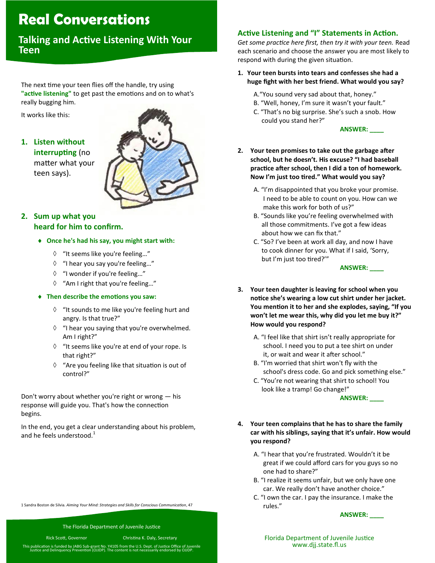# **Real Conversations**

**Talking and Active Listening With Your Teen** 

The next time your teen flies off the handle, try using **"active listening"** to get past the emotions and on to what's really bugging him.

It works like this:

**1. Listen without interrupting** (no matter what your teen says).



## **2. Sum up what you heard for him to confirm.**

#### **Once he's had his say, you might start with:**

- "It seems like you're feeling…"
- $\Diamond$  "I hear you say you're feeling..."
- "I wonder if you're feeling…"
- $\Diamond$  "Am I right that you're feeling..."

#### **Then describe the emotions you saw:**

- $\Diamond$  "It sounds to me like you're feeling hurt and angry. Is that true?"
- $\Diamond$  "I hear you saying that you're overwhelmed. Am I right?"
- $\Diamond$  "It seems like you're at end of your rope. Is that right?"
- $\Diamond$  "Are you feeling like that situation is out of control?"

Don't worry about whether you're right or wrong — his response will guide you. That's how the connection begins.

In the end, you get a clear understanding about his problem, and he feels understood. $1$ 

1 Sandra Boston de Silvia. *Aiming Your Mind: Strategies and Skills for Conscious Communication*, 47

The Florida Department of Juvenile Justice

Rick Scott, Governor Christina K. Daly, Secretary

This publication is funded by JABG Sub-grant No. Y4105 from the U.S. Dept. of Justice Office of Juvenile Justice and Delinquency Prevention (OJJDP). The content is not necessarily endorsed by OJJDP.

#### **Active Listening and "I" Statements in Action.**

*Get some practice here first, then try it with your teen.* Read each scenario and choose the answer you are most likely to respond with during the given situation.

- **1. Your teen bursts into tears and confesses she had a huge fight with her best friend. What would you say?** 
	- A."You sound very sad about that, honey."
	- B. "Well, honey, I'm sure it wasn't your fault."
	- C. "That's no big surprise. She's such a snob. How could you stand her?"



- **2. Your teen promises to take out the garbage after school, but he doesn't. His excuse? "I had baseball practice after school, then I did a ton of homework. Now I'm just too tired." What would you say?** 
	- A. "I'm disappointed that you broke your promise. I need to be able to count on you. How can we make this work for both of us?"
	- B. "Sounds like you're feeling overwhelmed with all those commitments. I've got a few ideas about how we can fix that."
	- C. "So? I've been at work all day, and now I have to cook dinner for you. What if I said, 'Sorry, but I'm just too tired?'"



- **3. Your teen daughter is leaving for school when you notice she's wearing a low cut shirt under her jacket. You mention it to her and she explodes, saying, "If you won't let me wear this, why did you let me buy it?" How would you respond?** 
	- A. "I feel like that shirt isn't really appropriate for school. I need you to put a tee shirt on under it, or wait and wear it after school."
	- B. "I'm worried that shirt won't fly with the school's dress code. Go and pick something else."
	- C. "You're not wearing that shirt to school! You look like a tramp! Go change!"

**ANSWER: \_\_\_\_**

- **4. Your teen complains that he has to share the family car with his siblings, saying that it's unfair. How would you respond?** 
	- A. "I hear that you're frustrated. Wouldn't it be great if we could afford cars for you guys so no one had to share?"
	- B. "I realize it seems unfair, but we only have one car. We really don't have another choice."
	- C. "I own the car. I pay the insurance. I make the rules."

**ANSWER: \_\_\_\_**

Florida Department of Juvenile Justice www.djj.state.fl.us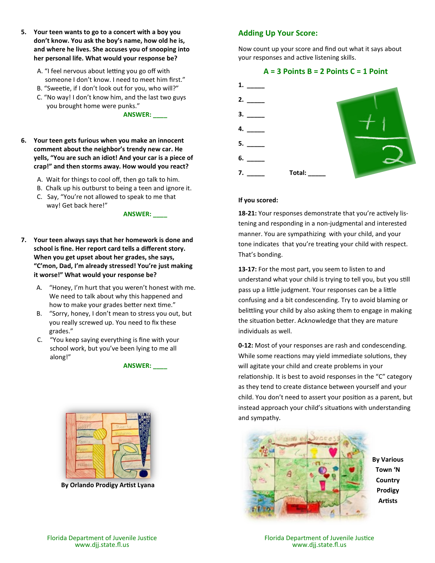- **5. Your teen wants to go to a concert with a boy you don't know. You ask the boy's name, how old he is, and where he lives. She accuses you of snooping into her personal life. What would your response be?** 
	- A. "I feel nervous about letting you go off with someone I don't know. I need to meet him first."
	- B. "Sweetie, if I don't look out for you, who will?"
	- C. "No way! I don't know him, and the last two guys you brought home were punks."

**ANSWER: \_\_\_\_**

- **6. Your teen gets furious when you make an innocent comment about the neighbor's trendy new car. He yells, "You are such an idiot! And your car is a piece of crap!" and then storms away. How would you react?** 
	- A. Wait for things to cool off, then go talk to him.
	- B. Chalk up his outburst to being a teen and ignore it.
	- C. Say, "You're not allowed to speak to me that way! Get back here!"

**ANSWER: \_\_\_\_**

- **7. Your teen always says that her homework is done and school is fine. Her report card tells a different story. When you get upset about her grades, she says, "C'mon, Dad, I'm already stressed! You're just making it worse!" What would your response be?** 
	- A. "Honey, I'm hurt that you weren't honest with me. We need to talk about why this happened and how to make your grades better next time."
	- B. "Sorry, honey, I don't mean to stress you out, but you really screwed up. You need to fix these grades."
	- C. "You keep saying everything is fine with your school work, but you've been lying to me all along!"

**ANSWER: \_\_\_\_**



**By Orlando Prodigy Artist Lyana**

## **Adding Up Your Score:**

Now count up your score and find out what it says about your responses and active listening skills.

#### **A = 3 Points B = 2 Points C = 1 Point**



#### **If you scored:**

**18-21:** Your responses demonstrate that you're actively listening and responding in a non-judgmental and interested manner. You are sympathizing with your child, and your tone indicates that you're treating your child with respect. That's bonding.

**13-17:** For the most part, you seem to listen to and understand what your child is trying to tell you, but you still pass up a little judgment. Your responses can be a little confusing and a bit condescending. Try to avoid blaming or belittling your child by also asking them to engage in making the situation better. Acknowledge that they are mature individuals as well.

**0-12:** Most of your responses are rash and condescending. While some reactions may yield immediate solutions, they will agitate your child and create problems in your relationship. It is best to avoid responses in the "C" category as they tend to create distance between yourself and your child. You don't need to assert your position as a parent, but instead approach your child's situations with understanding and sympathy.



**By Various Town 'N Country Prodigy Artists**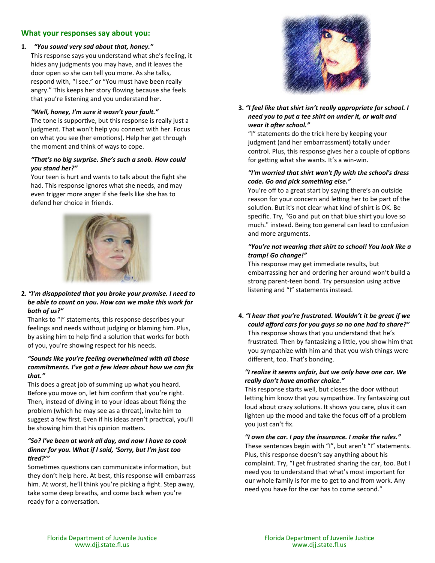#### **What your responses say about you:**

#### **1.** *"You sound very sad about that, honey."*

This response says you understand what she's feeling, it hides any judgments you may have, and it leaves the door open so she can tell you more. As she talks, respond with, "I see." or "You must have been really angry." This keeps her story flowing because she feels that you're listening and you understand her.

#### *"Well, honey, I'm sure it wasn't your fault."*

The tone is supportive, but this response is really just a judgment. That won't help you connect with her. Focus on what you see (her emotions). Help her get through the moment and think of ways to cope.

#### *"That's no big surprise. She's such a snob. How could you stand her?"*

Your teen is hurt and wants to talk about the fight she had. This response ignores what she needs, and may even trigger more anger if she feels like she has to defend her choice in friends.



#### **2.** *"I'm disappointed that you broke your promise. I need to be able to count on you. How can we make this work for both of us?"*

Thanks to "I" statements, this response describes your feelings and needs without judging or blaming him. Plus, by asking him to help find a solution that works for both of you, you're showing respect for his needs.

#### *"Sounds like you're feeling overwhelmed with all those commitments. I've got a few ideas about how we can fix that."*

This does a great job of summing up what you heard. Before you move on, let him confirm that you're right. Then, instead of diving in to your ideas about fixing the problem (which he may see as a threat), invite him to suggest a few first. Even if his ideas aren't practical, you'll be showing him that his opinion matters.

#### *"So? I've been at work all day, and now I have to cook dinner for you. What if I said, 'Sorry, but I'm just too tired?'"*

Sometimes questions can communicate information, but they don't help here. At best, this response will embarrass him. At worst, he'll think you're picking a fight. Step away, take some deep breaths, and come back when you're ready for a conversation.



#### **3.** *"I feel like that shirt isn't really appropriate for school. I need you to put a tee shirt on under it, or wait and wear it after school."*

"I" statements do the trick here by keeping your judgment (and her embarrassment) totally under control. Plus, this response gives her a couple of options for getting what she wants. It's a win-win.

#### *"I'm worried that shirt won't fly with the school's dress code. Go and pick something else."*

You're off to a great start by saying there's an outside reason for your concern and letting her to be part of the solution. But it's not clear what kind of shirt is OK. Be specific. Try, "Go and put on that blue shirt you love so much." instead. Being too general can lead to confusion and more arguments.

#### *"You're not wearing that shirt to school! You look like a tramp! Go change!"*

This response may get immediate results, but embarrassing her and ordering her around won't build a strong parent-teen bond. Try persuasion using active listening and "I" statements instead.

**4.** *"I hear that you're frustrated. Wouldn't it be great if we could afford cars for you guys so no one had to share?"*  This response shows that you understand that he's frustrated. Then by fantasizing a little, you show him that you sympathize with him and that you wish things were different, too. That's bonding.

#### *"I realize it seems unfair, but we only have one car. We really don't have another choice."*

This response starts well, but closes the door without letting him know that you sympathize. Try fantasizing out loud about crazy solutions. It shows you care, plus it can lighten up the mood and take the focus off of a problem you just can't fix.

#### *"I own the car. I pay the insurance. I make the rules."*

These sentences begin with "I", but aren't "I" statements. Plus, this response doesn't say anything about his complaint. Try, "I get frustrated sharing the car, too. But I need you to understand that what's most important for our whole family is for me to get to and from work. Any need you have for the car has to come second."